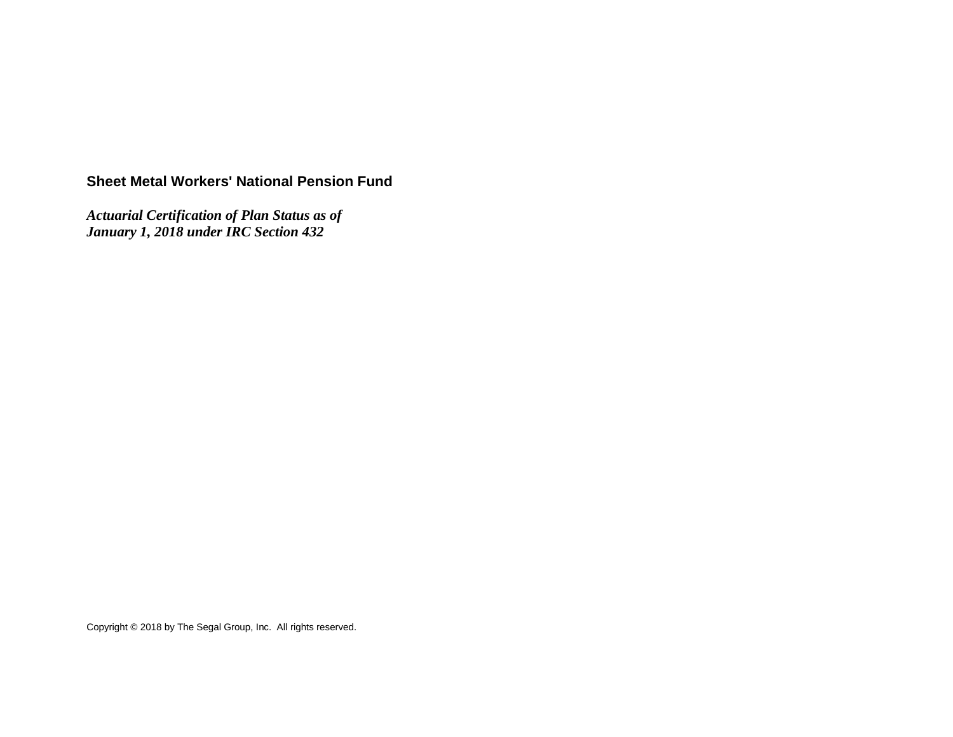# **Sheet Metal Workers' National Pension Fund**

*Actuarial Certification of Plan Status as of January 1, 2018 under IRC Section 432*

Copyright © 2018 by The Segal Group, Inc. All rights reserved.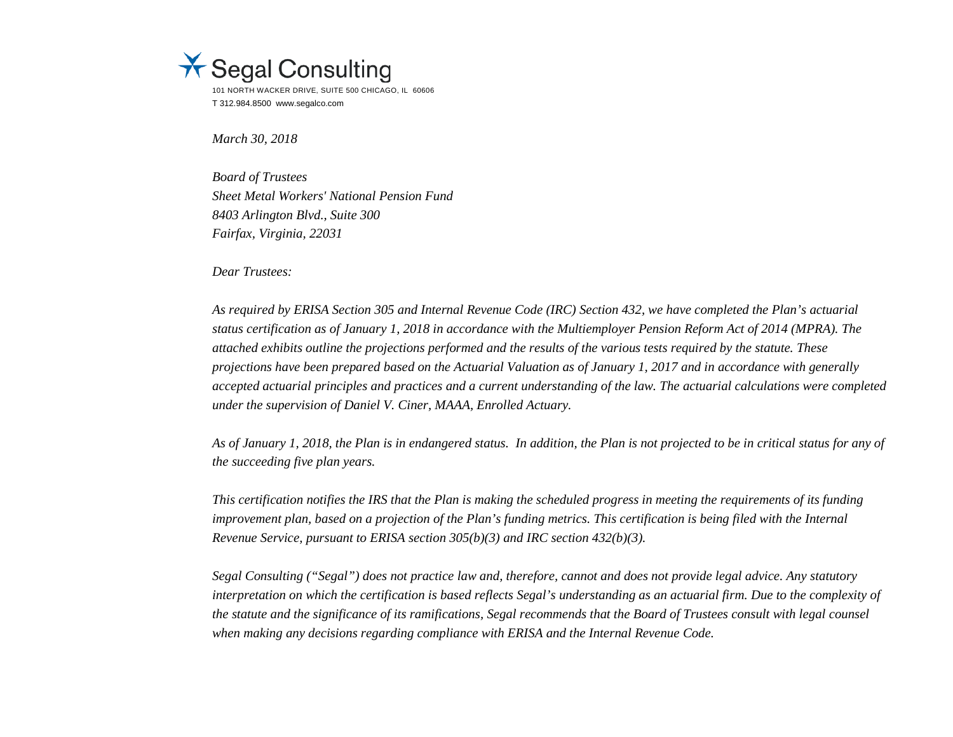

*March 30, 2018*

*Board of Trustees Sheet Metal Workers' National Pension Fund 8403 Arlington Blvd., Suite 300 Fairfax, Virginia, 22031*

*Dear Trustees:*

*As required by ERISA Section 305 and Internal Revenue Code (IRC) Section 432, we have completed the Plan's actuarial status certification as of January 1, 2018 in accordance with the Multiemployer Pension Reform Act of 2014 (MPRA). The attached exhibits outline the projections performed and the results of the various tests required by the statute. These projections have been prepared based on the Actuarial Valuation as of January 1, 2017 and in accordance with generally accepted actuarial principles and practices and a current understanding of the law. The actuarial calculations were completed under the supervision of Daniel V. Ciner, MAAA, Enrolled Actuary.*

*As of January 1, 2018, the Plan is in endangered status. In addition, the Plan is not projected to be in critical status for any of the succeeding five plan years.* 

*This certification notifies the IRS that the Plan is making the scheduled progress in meeting the requirements of its funding improvement plan, based on a projection of the Plan's funding metrics. This certification is being filed with the Internal Revenue Service, pursuant to ERISA section 305(b)(3) and IRC section 432(b)(3).*

*Segal Consulting ("Segal") does not practice law and, therefore, cannot and does not provide legal advice. Any statutory interpretation on which the certification is based reflects Segal's understanding as an actuarial firm. Due to the complexity of the statute and the significance of its ramifications, Segal recommends that the Board of Trustees consult with legal counsel when making any decisions regarding compliance with ERISA and the Internal Revenue Code.*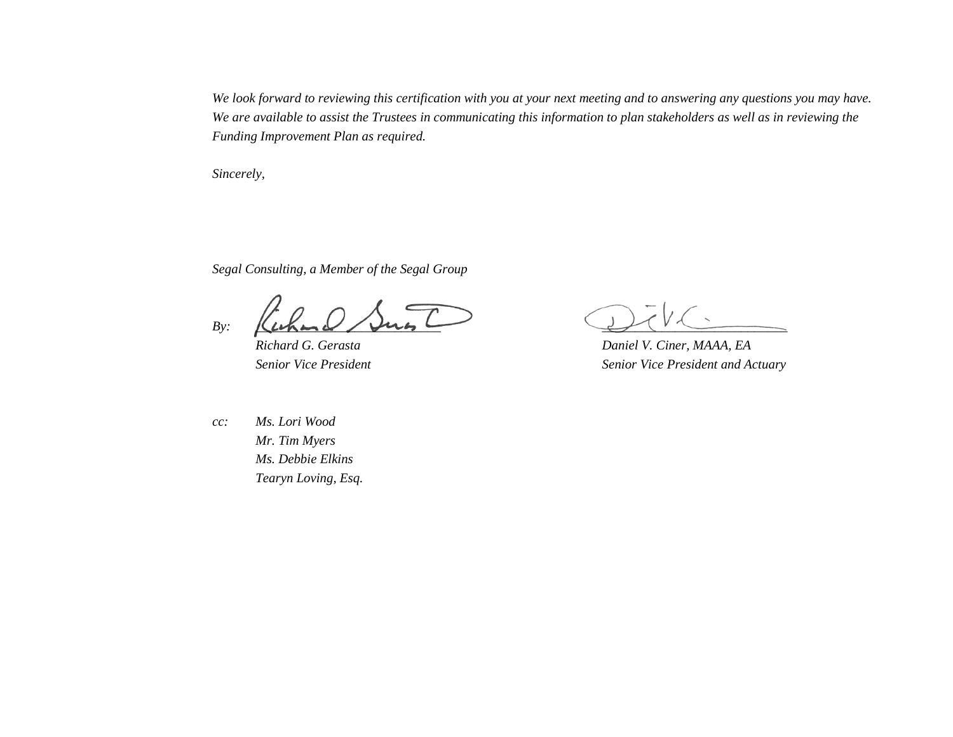*We look forward to reviewing this certification with you at your next meeting and to answering any questions you may have. We are available to assist the Trustees in communicating this information to plan stakeholders as well as in reviewing the Funding Improvement Plan as required.*

*Sincerely,*

*Segal Consulting, a Member of the Segal Group*

 $B$ y:  $\underline{Llthmcl}$  /  $\mu$ us  $\underline{Ll}$ 

*Richard G. Gerasta Daniel V. Ciner, MAAA, EA Senior Vice President Senior Vice President and Actuary*

*cc: Ms. Lori Wood Mr. Tim Myers Ms. Debbie Elkins Tearyn Loving, Esq.*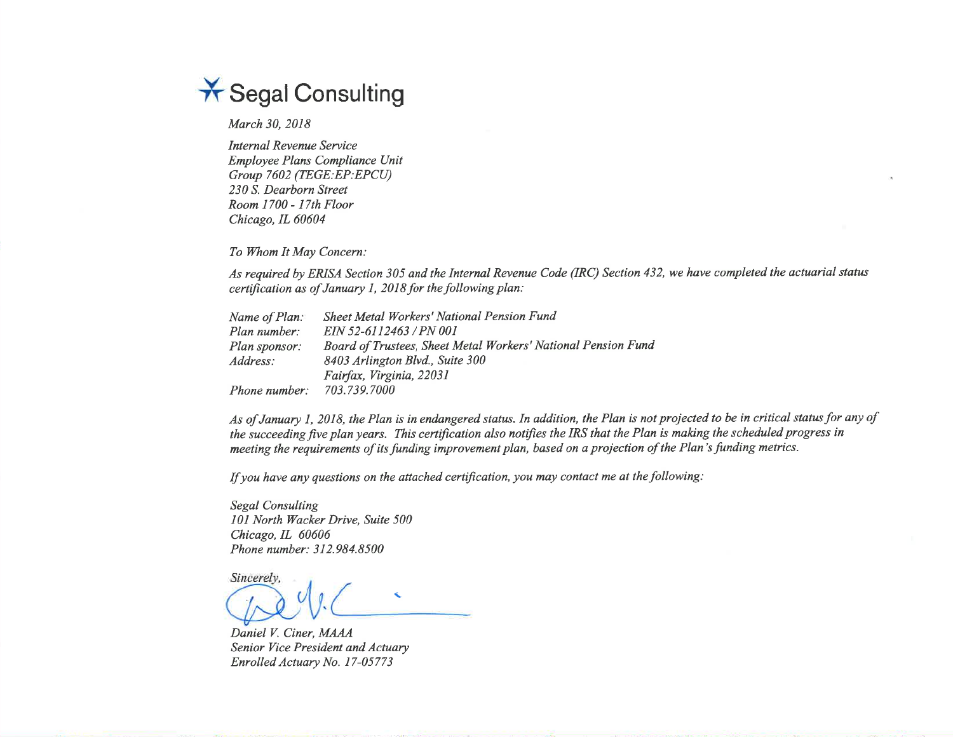

March 30, 2018

Internal Revenue Service Employee Plans Compliance UnitGroup 7602 (TEGE: EP: EPCU) 230 S. Dearborn Street Room 1700 - 17th FloorChicago, IL 60604

To Whom It May Concern:

As required by ERISA Section 305 and the Internal Revenue Code (IRC) Section 432, we have completed the actuarial status certification as of January 1, 2018 for the following plan:

| Name of Plan: | Sheet Metal Workers' National Pension Fund                    |
|---------------|---------------------------------------------------------------|
| Plan number:  | EIN 52-6112463 / PN 001                                       |
| Plan sponsor: | Board of Trustees, Sheet Metal Workers' National Pension Fund |
| Address:      | 8403 Arlington Blvd., Suite 300                               |
|               | Fairfax, Virginia, 22031                                      |
| Phone number: | 703.739.7000                                                  |

As of January 1, 2018, the Plan is in endangered status. In addition, the Plan is not projected to be in critical status for any of the succeeding five plan years. This certification also notifies the IRS that the Plan is making the scheduled progress inmeeting the requirements of its funding improvement plan, based on a projection of the Plan's funding metrics.

If you have any questions on the attached certification, you may contact me at thefollowing:

Segal Consulting I0l Norrh Wacker Drive, Suite 500Chicago, IL 60606 Phone number: 3 I 2.984.8500

Sincerely,

Daniel V. Ciner, MAAA Senior Vice President ønd ActuaryEnrolled Actuary No. 17-05773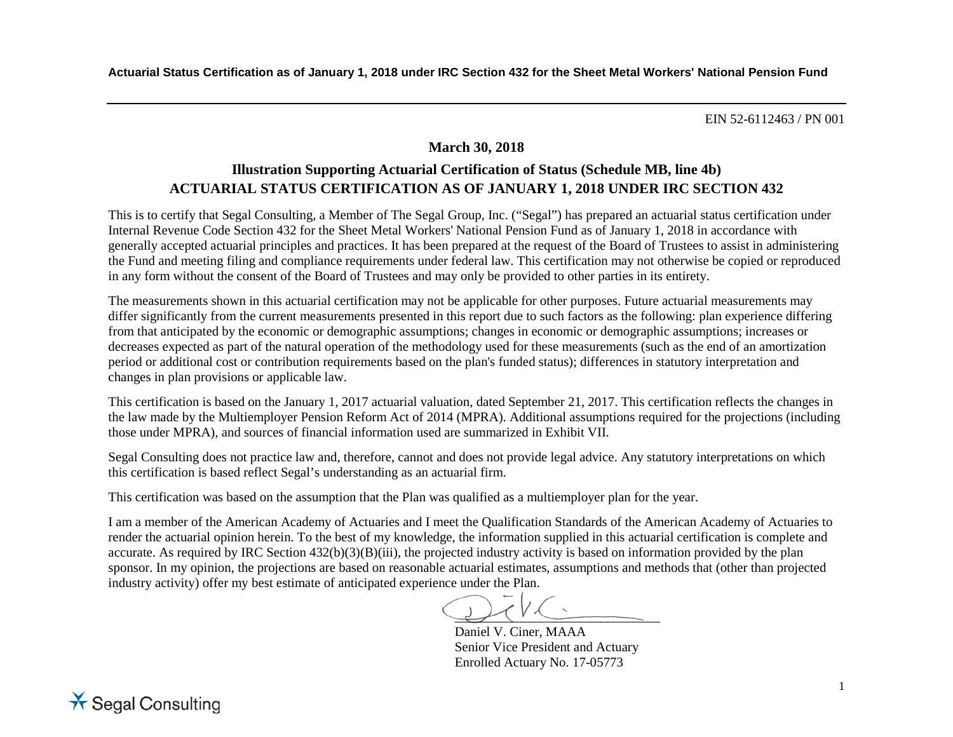## **March 30, 2018**

# **Illustration Supporting Actuarial Certification of Status (Schedule MB, line 4b) ACTUARIAL STATUS CERTIFICATION AS OF JANUARY 1, 2018 UNDER IRC SECTION 432**

This is to certify that Segal Consulting, a Member of The Segal Group, Inc. ("Segal") has prepared an actuarial status certification under Internal Revenue Code Section 432 for the Sheet Metal Workers' National Pension Fund as of January 1, 2018 in accordance with generally accepted actuarial principles and practices. It has been prepared at the request of the Board of Trustees to assist in administering the Fund and meeting filing and compliance requirements under federal law. This certification may not otherwise be copied or reproduced in any form without the consent of the Board of Trustees and may only be provided to other parties in its entirety.

The measurements shown in this actuarial certification may not be applicable for other purposes. Future actuarial measurements may differ significantly from the current measurements presented in this report due to such factors as the following: plan experience differing from that anticipated by the economic or demographic assumptions; changes in economic or demographic assumptions; increases or decreases expected as part of the natural operation of the methodology used for these measurements (such as the end of an amortization period or additional cost or contribution requirements based on the plan's funded status); differences in statutory interpretation and changes in plan provisions or applicable law.

This certification is based on the January 1, 2017 actuarial valuation, dated September 21, 2017. This certification reflects the changes in the law made by the Multiemployer Pension Reform Act of 2014 (MPRA). Additional assumptions required for the projections (including those under MPRA), and sources of financial information used are summarized in Exhibit VII.

Segal Consulting does not practice law and, therefore, cannot and does not provide legal advice. Any statutory interpretations on which this certification is based reflect Segal's understanding as an actuarial firm.

This certification was based on the assumption that the Plan was qualified as a multiemployer plan for the year.

I am a member of the American Academy of Actuaries and I meet the Qualification Standards of the American Academy of Actuaries to render the actuarial opinion herein. To the best of my knowledge, the information supplied in this actuarial certification is complete and accurate. As required by IRC Section  $432(b)(3)(B)(iii)$ , the projected industry activity is based on information provided by the plan sponsor. In my opinion, the projections are based on reasonable actuarial estimates, assumptions and methods that (other than projected industry activity) offer my best estimate of anticipated experience under the Plan.

 $\bigcup$ 

Daniel V. Ciner, MAAA Senior Vice President and Actuary Enrolled Actuary No. 17-05773

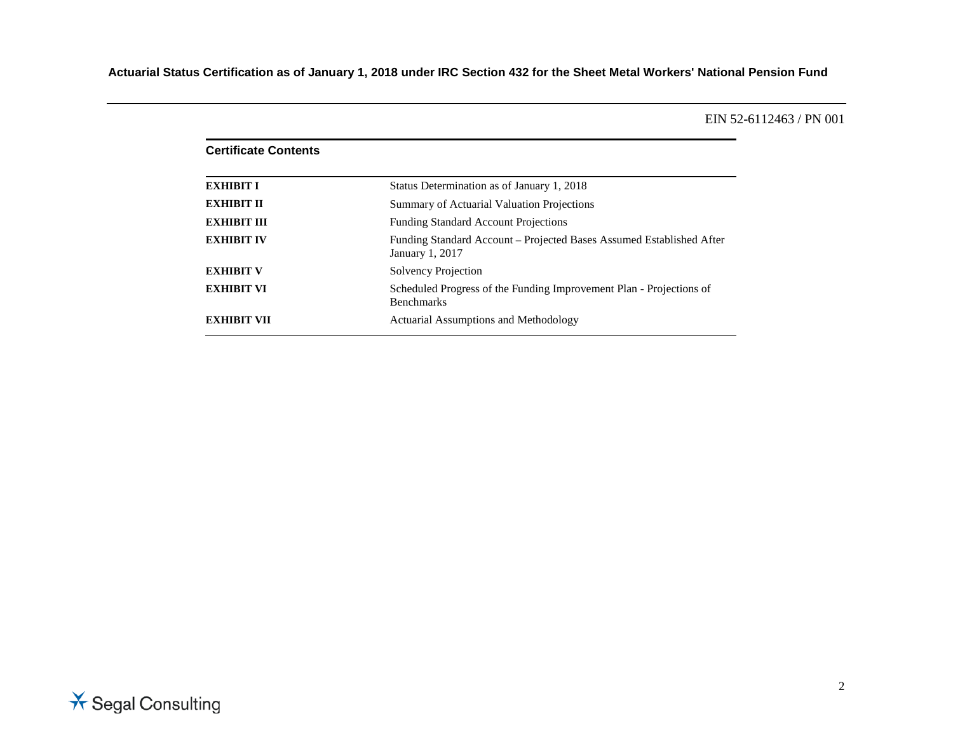| <b>Certificate Contents</b> |                                                                                          |
|-----------------------------|------------------------------------------------------------------------------------------|
| <b>EXHIBIT I</b>            | Status Determination as of January 1, 2018                                               |
| <b>EXHIBIT II</b>           | Summary of Actuarial Valuation Projections                                               |
| <b>EXHIBIT III</b>          | <b>Funding Standard Account Projections</b>                                              |
| <b>EXHIBIT IV</b>           | Funding Standard Account - Projected Bases Assumed Established After<br>January 1, 2017  |
| <b>EXHIBIT V</b>            | Solvency Projection                                                                      |
| <b>EXHIBIT VI</b>           | Scheduled Progress of the Funding Improvement Plan - Projections of<br><b>Benchmarks</b> |
| <b>EXHIBIT VII</b>          | Actuarial Assumptions and Methodology                                                    |

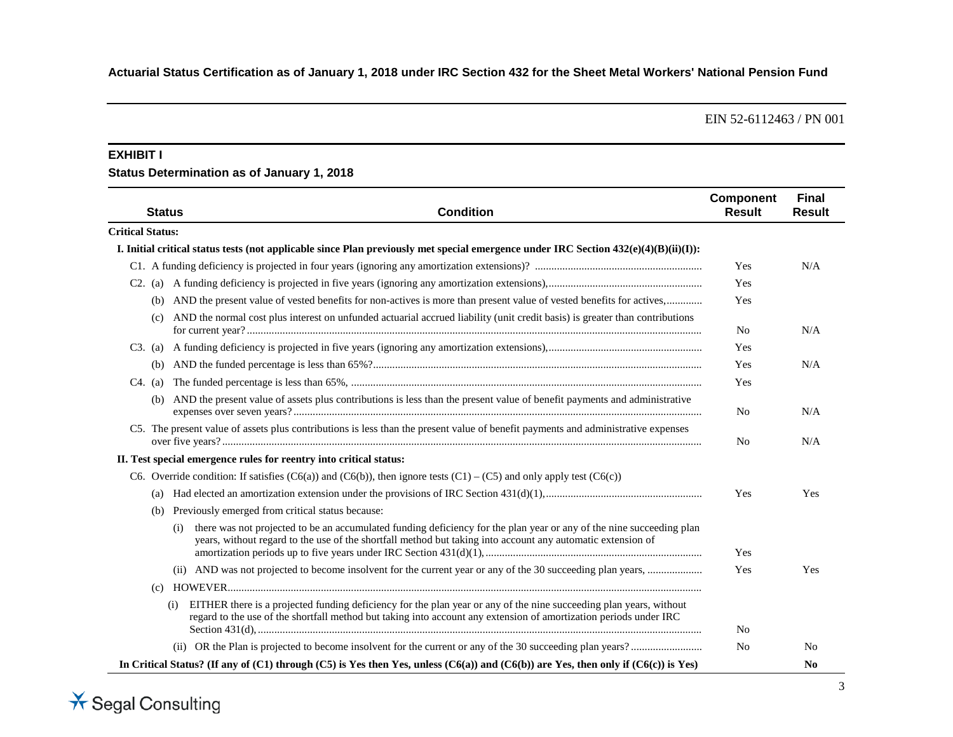#### **EXHIBIT I**

### **Status Determination as of January 1, 2018**

| <b>Status</b>           | <b>Condition</b>                                                                                                                                                                                                                               | <b>Component</b><br><b>Result</b> | <b>Final</b><br><b>Result</b> |
|-------------------------|------------------------------------------------------------------------------------------------------------------------------------------------------------------------------------------------------------------------------------------------|-----------------------------------|-------------------------------|
| <b>Critical Status:</b> |                                                                                                                                                                                                                                                |                                   |                               |
|                         | I. Initial critical status tests (not applicable since Plan previously met special emergence under IRC Section $432(e)(4)(B)(ii)(I))$ :                                                                                                        |                                   |                               |
|                         |                                                                                                                                                                                                                                                | Yes                               | N/A                           |
| $C2.$ (a)               |                                                                                                                                                                                                                                                | Yes                               |                               |
| (b)                     | AND the present value of vested benefits for non-actives is more than present value of vested benefits for actives,                                                                                                                            | Yes                               |                               |
| (c)                     | AND the normal cost plus interest on unfunded actuarial accrued liability (unit credit basis) is greater than contributions                                                                                                                    | N <sub>0</sub>                    | N/A                           |
| $C3.$ (a)               |                                                                                                                                                                                                                                                | Yes                               |                               |
| (b)                     |                                                                                                                                                                                                                                                | Yes                               | N/A                           |
| $C4.$ (a)               |                                                                                                                                                                                                                                                | Yes                               |                               |
| (b)                     | AND the present value of assets plus contributions is less than the present value of benefit payments and administrative                                                                                                                       | N <sub>0</sub>                    | N/A                           |
|                         | C5. The present value of assets plus contributions is less than the present value of benefit payments and administrative expenses                                                                                                              | N <sub>0</sub>                    | N/A                           |
|                         | II. Test special emergence rules for reentry into critical status:                                                                                                                                                                             |                                   |                               |
|                         | C6. Override condition: If satisfies (C6(a)) and (C6(b)), then ignore tests (C1) – (C5) and only apply test (C6(c))                                                                                                                            |                                   |                               |
|                         |                                                                                                                                                                                                                                                | Yes                               | Yes                           |
|                         | (b) Previously emerged from critical status because:                                                                                                                                                                                           |                                   |                               |
|                         | there was not projected to be an accumulated funding deficiency for the plan year or any of the nine succeeding plan<br>(i)<br>years, without regard to the use of the shortfall method but taking into account any automatic extension of     | Yes                               |                               |
|                         |                                                                                                                                                                                                                                                | Yes                               | Yes                           |
| (c)                     |                                                                                                                                                                                                                                                |                                   |                               |
|                         | EITHER there is a projected funding deficiency for the plan year or any of the nine succeeding plan years, without<br>(i)<br>regard to the use of the shortfall method but taking into account any extension of amortization periods under IRC |                                   |                               |
|                         |                                                                                                                                                                                                                                                | No                                |                               |
|                         |                                                                                                                                                                                                                                                | N <sub>0</sub>                    | No                            |
|                         | In Critical Status? (If any of $(C1)$ through $(C5)$ is Yes then Yes, unless $(C6(a))$ and $(C6(b))$ are Yes, then only if $(C6(c))$ is Yes)                                                                                                   |                                   | N <sub>0</sub>                |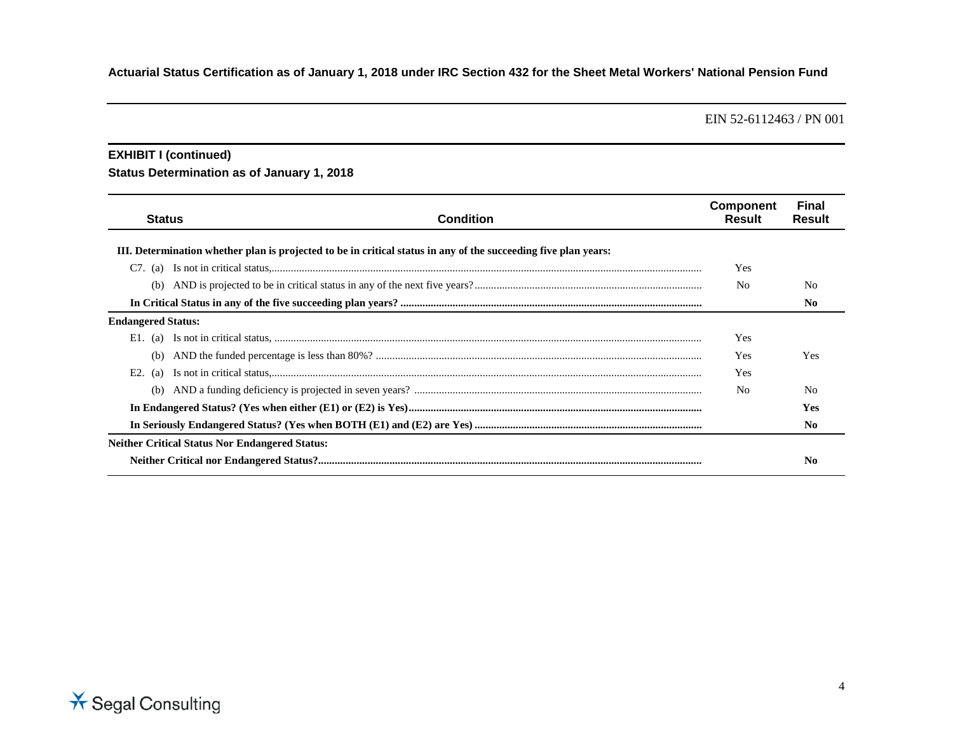EIN 52-6112463 / PN 001

### **EXHIBIT I (continued)**

## **Status Determination as of January 1, 2018**

| <b>Status</b>             | <b>Condition</b>                                                                                                | <b>Component</b><br>Result | Final<br>Result |  |  |  |  |  |  |  |
|---------------------------|-----------------------------------------------------------------------------------------------------------------|----------------------------|-----------------|--|--|--|--|--|--|--|
|                           | III. Determination whether plan is projected to be in critical status in any of the succeeding five plan years: |                            |                 |  |  |  |  |  |  |  |
| $C7.$ (a)                 |                                                                                                                 | Yes                        |                 |  |  |  |  |  |  |  |
| (b)                       |                                                                                                                 | N <sub>0</sub>             | No              |  |  |  |  |  |  |  |
|                           |                                                                                                                 |                            | N0              |  |  |  |  |  |  |  |
| <b>Endangered Status:</b> |                                                                                                                 |                            |                 |  |  |  |  |  |  |  |
| E1.<br>(a)                |                                                                                                                 | <b>Yes</b>                 |                 |  |  |  |  |  |  |  |
| (b)                       |                                                                                                                 | Yes                        | <b>Yes</b>      |  |  |  |  |  |  |  |
| E <sub>2</sub> .<br>(a)   |                                                                                                                 | Yes                        |                 |  |  |  |  |  |  |  |
|                           |                                                                                                                 | N <sub>0</sub>             | No              |  |  |  |  |  |  |  |
|                           |                                                                                                                 |                            | <b>Yes</b>      |  |  |  |  |  |  |  |
|                           |                                                                                                                 |                            | No.             |  |  |  |  |  |  |  |
|                           | <b>Neither Critical Status Nor Endangered Status:</b>                                                           |                            |                 |  |  |  |  |  |  |  |
|                           |                                                                                                                 |                            | No              |  |  |  |  |  |  |  |

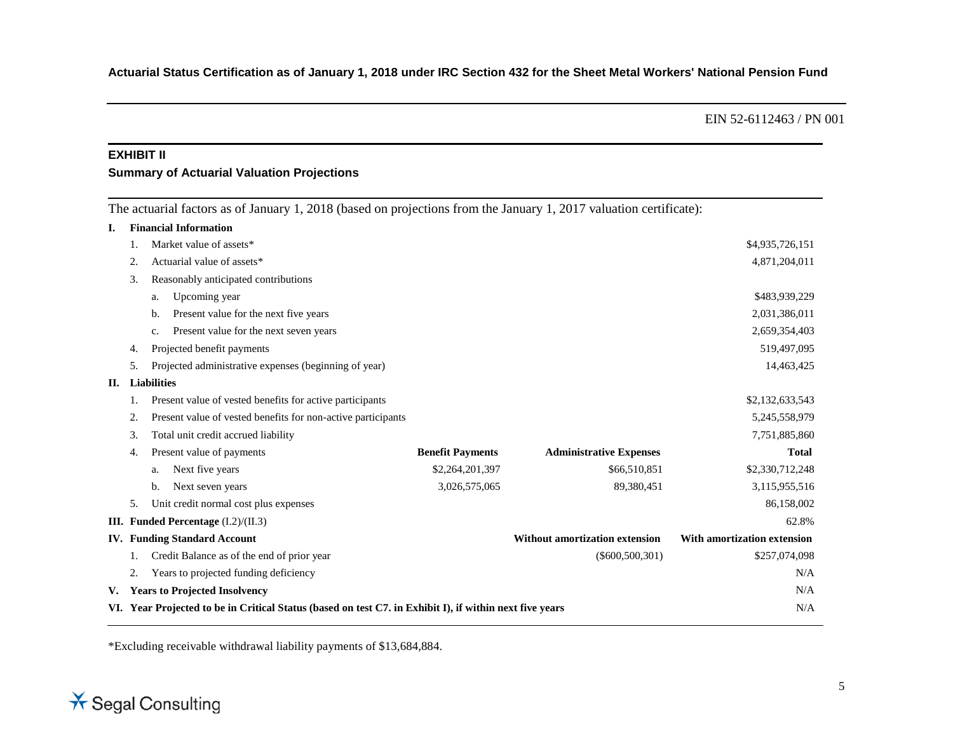#### **EXHIBIT II**

#### **Summary of Actuarial Valuation Projections**

The actuarial factors as of January 1, 2018 (based on projections from the January 1, 2017 valuation certificate):

| I. |    | <b>Financial Information</b>                                                                            |                         |                                       |                             |
|----|----|---------------------------------------------------------------------------------------------------------|-------------------------|---------------------------------------|-----------------------------|
|    |    | Market value of assets*                                                                                 |                         |                                       | \$4,935,726,151             |
|    | 2. | Actuarial value of assets*                                                                              |                         |                                       | 4,871,204,011               |
|    | 3. | Reasonably anticipated contributions                                                                    |                         |                                       |                             |
|    |    | Upcoming year<br>a.                                                                                     |                         |                                       | \$483,939,229               |
|    |    | Present value for the next five years<br>b.                                                             |                         |                                       | 2,031,386,011               |
|    |    | Present value for the next seven years<br>c.                                                            |                         |                                       | 2,659,354,403               |
|    | 4. | Projected benefit payments                                                                              |                         |                                       | 519,497,095                 |
|    | 5. | Projected administrative expenses (beginning of year)                                                   |                         |                                       | 14,463,425                  |
| П. |    | <b>Liabilities</b>                                                                                      |                         |                                       |                             |
|    |    | Present value of vested benefits for active participants                                                |                         |                                       | \$2,132,633,543             |
|    | 2. | Present value of vested benefits for non-active participants                                            |                         |                                       | 5,245,558,979               |
|    | 3. | Total unit credit accrued liability                                                                     |                         |                                       | 7,751,885,860               |
|    | 4. | Present value of payments                                                                               | <b>Benefit Payments</b> | <b>Administrative Expenses</b>        | <b>Total</b>                |
|    |    | Next five years<br>a.                                                                                   | \$2,264,201,397         | \$66,510,851                          | \$2,330,712,248             |
|    |    | Next seven years<br>b.                                                                                  | 3,026,575,065           | 89,380,451                            | 3,115,955,516               |
|    | 5. | Unit credit normal cost plus expenses                                                                   |                         |                                       | 86,158,002                  |
|    |    | III. Funded Percentage (I.2)/(II.3)                                                                     |                         |                                       | 62.8%                       |
|    |    | <b>IV.</b> Funding Standard Account                                                                     |                         | <b>Without amortization extension</b> | With amortization extension |
|    |    | Credit Balance as of the end of prior year                                                              |                         | $(\$600,500,301)$                     | \$257,074,098               |
|    | 2. | Years to projected funding deficiency                                                                   |                         |                                       | N/A                         |
|    |    | V. Years to Projected Insolvency                                                                        |                         |                                       | N/A                         |
|    |    | VI. Year Projected to be in Critical Status (based on test C7. in Exhibit I), if within next five years |                         |                                       | N/A                         |
|    |    |                                                                                                         |                         |                                       |                             |

\*Excluding receivable withdrawal liability payments of \$13,684,884.

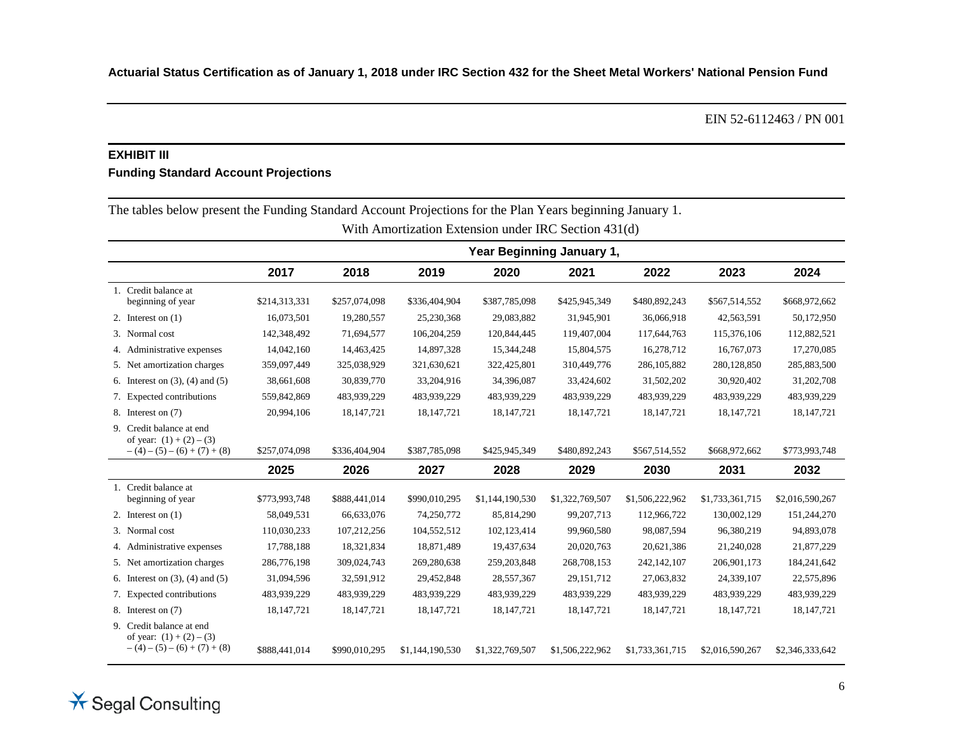### **EXHIBIT III**

### **Funding Standard Account Projections**

| The tables below present the I analys building recount I refections for the I fair Tears beginning randary 1.<br>With Amortization Extension under IRC Section 431(d) |               |                           |                 |                 |                 |                 |                 |                 |  |  |  |
|-----------------------------------------------------------------------------------------------------------------------------------------------------------------------|---------------|---------------------------|-----------------|-----------------|-----------------|-----------------|-----------------|-----------------|--|--|--|
|                                                                                                                                                                       |               | Year Beginning January 1, |                 |                 |                 |                 |                 |                 |  |  |  |
|                                                                                                                                                                       | 2017          | 2018                      | 2019            | 2020            | 2021            | 2022            | 2023            | 2024            |  |  |  |
| 1. Credit balance at<br>beginning of year                                                                                                                             | \$214,313,331 | \$257,074,098             | \$336,404,904   | \$387,785,098   | \$425,945,349   | \$480,892,243   | \$567,514,552   | \$668,972,662   |  |  |  |
| 2. Interest on $(1)$                                                                                                                                                  | 16,073,501    | 19,280,557                | 25,230,368      | 29,083,882      | 31,945,901      | 36,066,918      | 42,563,591      | 50,172,950      |  |  |  |
| 3. Normal cost                                                                                                                                                        | 142,348,492   | 71,694,577                | 106,204,259     | 120,844,445     | 119,407,004     | 117,644,763     | 115,376,106     | 112,882,521     |  |  |  |
| 4. Administrative expenses                                                                                                                                            | 14,042,160    | 14,463,425                | 14,897,328      | 15,344,248      | 15,804,575      | 16,278,712      | 16,767,073      | 17,270,085      |  |  |  |
| 5. Net amortization charges                                                                                                                                           | 359,097,449   | 325,038,929               | 321,630,621     | 322,425,801     | 310,449,776     | 286, 105, 882   | 280,128,850     | 285,883,500     |  |  |  |
| 6. Interest on $(3)$ , $(4)$ and $(5)$                                                                                                                                | 38,661,608    | 30,839,770                | 33,204,916      | 34,396,087      | 33,424,602      | 31,502,202      | 30,920,402      | 31,202,708      |  |  |  |
| 7. Expected contributions                                                                                                                                             | 559,842,869   | 483,939,229               | 483,939,229     | 483,939,229     | 483,939,229     | 483,939,229     | 483,939,229     | 483,939,229     |  |  |  |
| 8. Interest on (7)                                                                                                                                                    | 20,994,106    | 18, 147, 721              | 18, 147, 721    | 18, 147, 721    | 18, 147, 721    | 18, 147, 721    | 18, 147, 721    | 18, 147, 721    |  |  |  |
| 9. Credit balance at end<br>of year: $(1) + (2) - (3)$<br>$-(4)-(5)-(6)+(7)+(8)$                                                                                      | \$257,074,098 | \$336,404,904             | \$387,785,098   | \$425,945,349   | \$480,892,243   | \$567,514,552   | \$668,972,662   | \$773,993,748   |  |  |  |
|                                                                                                                                                                       | 2025          | 2026                      | 2027            | 2028            | 2029            | 2030            | 2031            | 2032            |  |  |  |
| 1. Credit balance at<br>beginning of year                                                                                                                             | \$773,993,748 | \$888,441,014             | \$990,010,295   | \$1,144,190,530 | \$1,322,769,507 | \$1,506,222,962 | \$1,733,361,715 | \$2,016,590,267 |  |  |  |
| 2. Interest on $(1)$                                                                                                                                                  | 58,049,531    | 66,633,076                | 74,250,772      | 85,814,290      | 99,207,713      | 112,966,722     | 130,002,129     | 151,244,270     |  |  |  |
| 3. Normal cost                                                                                                                                                        | 110,030,233   | 107,212,256               | 104,552,512     | 102,123,414     | 99,960,580      | 98,087,594      | 96,380,219      | 94,893,078      |  |  |  |
| 4. Administrative expenses                                                                                                                                            | 17,788,188    | 18,321,834                | 18,871,489      | 19,437,634      | 20,020,763      | 20,621,386      | 21,240,028      | 21,877,229      |  |  |  |
| 5. Net amortization charges                                                                                                                                           | 286,776,198   | 309,024,743               | 269,280,638     | 259, 203, 848   | 268,708,153     | 242,142,107     | 206,901,173     | 184,241,642     |  |  |  |
| 6. Interest on $(3)$ , $(4)$ and $(5)$                                                                                                                                | 31,094,596    | 32,591,912                | 29,452,848      | 28,557,367      | 29, 151, 712    | 27,063,832      | 24,339,107      | 22,575,896      |  |  |  |
| 7. Expected contributions                                                                                                                                             | 483,939,229   | 483,939,229               | 483,939,229     | 483,939,229     | 483,939,229     | 483,939,229     | 483,939,229     | 483,939,229     |  |  |  |
| 8. Interest on (7)                                                                                                                                                    | 18, 147, 721  | 18, 147, 721              | 18, 147, 721    | 18, 147, 721    | 18, 147, 721    | 18, 147, 721    | 18, 147, 721    | 18, 147, 721    |  |  |  |
| 9. Credit balance at end<br>of year: $(1) + (2) - (3)$<br>$-(4)-(5)-(6)+(7)+(8)$                                                                                      | \$888,441,014 | \$990,010,295             | \$1,144,190,530 | \$1,322,769,507 | \$1,506,222,962 | \$1,733,361,715 | \$2,016,590,267 | \$2,346,333,642 |  |  |  |

The tables below present the Funding Standard Account Projections for the Plan Years beginning January 1.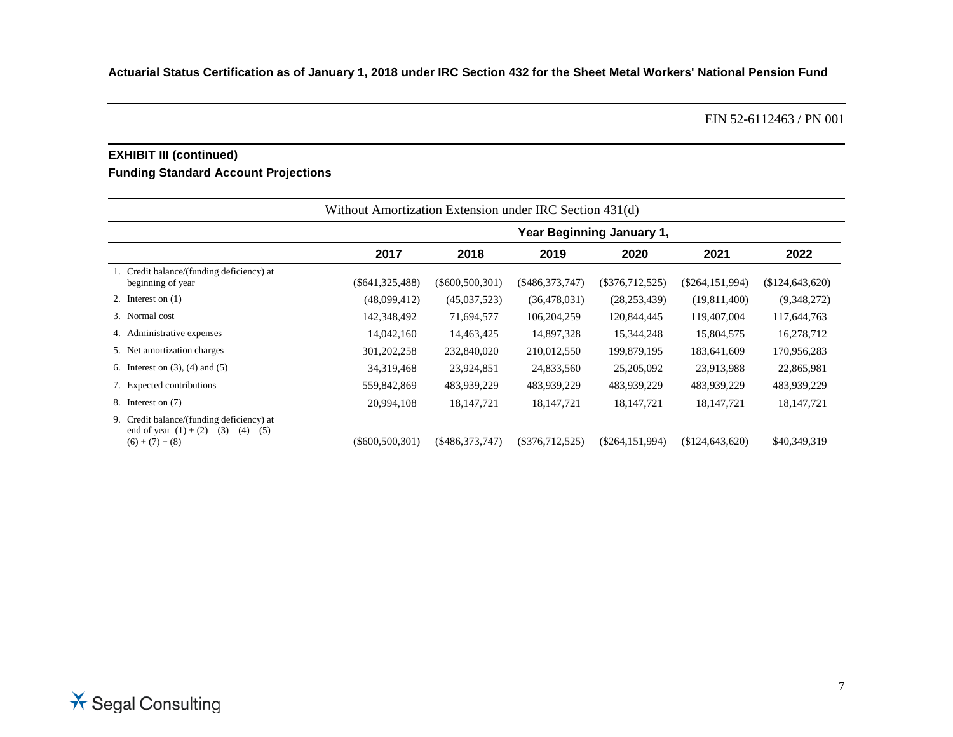### **EXHIBIT III (continued)**

### **Funding Standard Account Projections**

|                                                                                                               | Without Amortization Extension under IRC Section 431(d) |                   |                   |                   |                   |                 |  |  |
|---------------------------------------------------------------------------------------------------------------|---------------------------------------------------------|-------------------|-------------------|-------------------|-------------------|-----------------|--|--|
|                                                                                                               | Year Beginning January 1,                               |                   |                   |                   |                   |                 |  |  |
|                                                                                                               | 2017                                                    | 2018              | 2019              | 2020              | 2021              | 2022            |  |  |
| 1. Credit balance/(funding deficiency) at<br>beginning of year                                                | $(\$641,325,488)$                                       | $(\$600,500,301)$ | (\$486,373,747)   | $(\$376,712,525)$ | $(\$264,151,994)$ | (\$124,643,620) |  |  |
| 2. Interest on $(1)$                                                                                          | (48,099,412)                                            | (45,037,523)      | (36, 478, 031)    | (28, 253, 439)    | (19,811,400)      | (9,348,272)     |  |  |
| 3. Normal cost                                                                                                | 142,348,492                                             | 71,694,577        | 106,204,259       | 120,844,445       | 119,407,004       | 117,644,763     |  |  |
| 4. Administrative expenses                                                                                    | 14,042,160                                              | 14,463,425        | 14,897,328        | 15,344,248        | 15,804,575        | 16,278,712      |  |  |
| 5. Net amortization charges                                                                                   | 301, 202, 258                                           | 232,840,020       | 210,012,550       | 199,879,195       | 183,641,609       | 170,956,283     |  |  |
| 6. Interest on $(3)$ , $(4)$ and $(5)$                                                                        | 34,319,468                                              | 23,924,851        | 24,833,560        | 25,205,092        | 23,913,988        | 22,865,981      |  |  |
| 7. Expected contributions                                                                                     | 559,842,869                                             | 483,939,229       | 483,939,229       | 483,939,229       | 483,939,229       | 483,939,229     |  |  |
| 8. Interest on (7)                                                                                            | 20,994,108                                              | 18, 147, 721      | 18, 147, 721      | 18, 147, 721      | 18, 147, 721      | 18, 147, 721    |  |  |
| 9. Credit balance/(funding deficiency) at<br>end of year $(1) + (2) - (3) - (4) - (5) -$<br>$(6) + (7) + (8)$ | $(\$600,500,301)$                                       | $(\$486,373,747)$ | $(\$376,712,525)$ | $(\$264,151,994)$ | \$124,643,620     | \$40,349,319    |  |  |

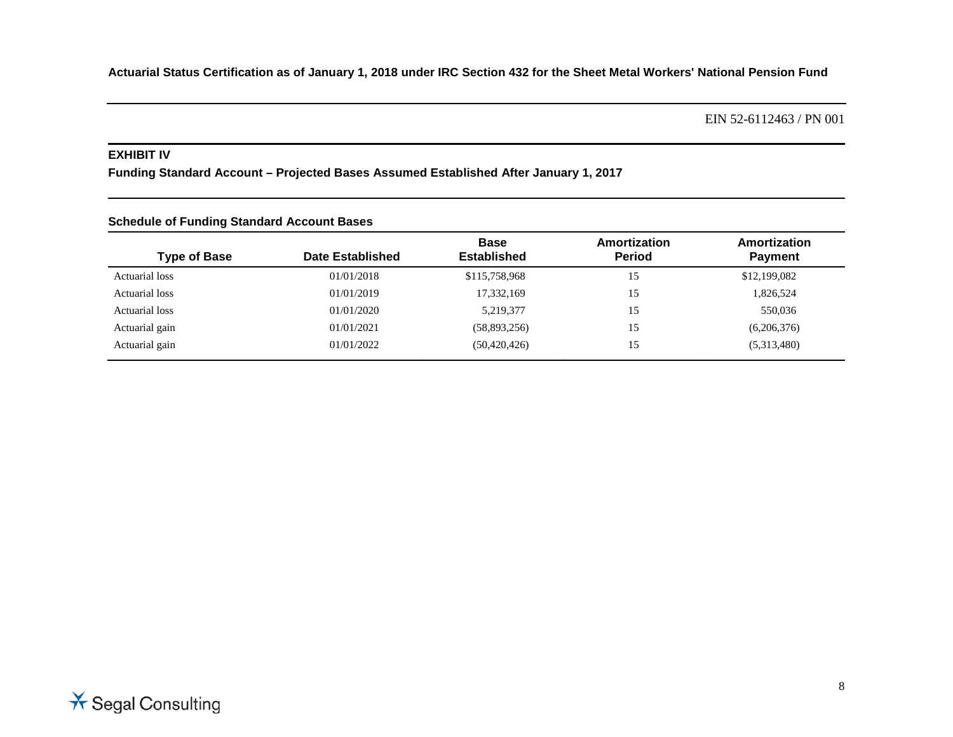EIN 52-6112463 / PN 001

### **EXHIBIT IV**

**Funding Standard Account – Projected Bases Assumed Established After January 1, 2017**

| Schedule of Funding Standard Account Bases |                         |                                   |                               |                                |  |  |  |  |  |  |
|--------------------------------------------|-------------------------|-----------------------------------|-------------------------------|--------------------------------|--|--|--|--|--|--|
| <b>Type of Base</b>                        | <b>Date Established</b> | <b>Base</b><br><b>Established</b> | Amortization<br><b>Period</b> | Amortization<br><b>Payment</b> |  |  |  |  |  |  |
| Actuarial loss                             | 01/01/2018              | \$115,758,968                     | 15                            | \$12,199,082                   |  |  |  |  |  |  |
| Actuarial loss                             | 01/01/2019              | 17,332,169                        | 15                            | 1,826,524                      |  |  |  |  |  |  |
| Actuarial loss                             | 01/01/2020              | 5,219,377                         | 15                            | 550,036                        |  |  |  |  |  |  |
| Actuarial gain                             | 01/01/2021              | (58,893,256)                      | 15                            | (6,206,376)                    |  |  |  |  |  |  |
| Actuarial gain                             | 01/01/2022              | (50, 420, 426)                    | 15                            | (5,313,480)                    |  |  |  |  |  |  |

### **Schedule of Funding Standard Account Bases**

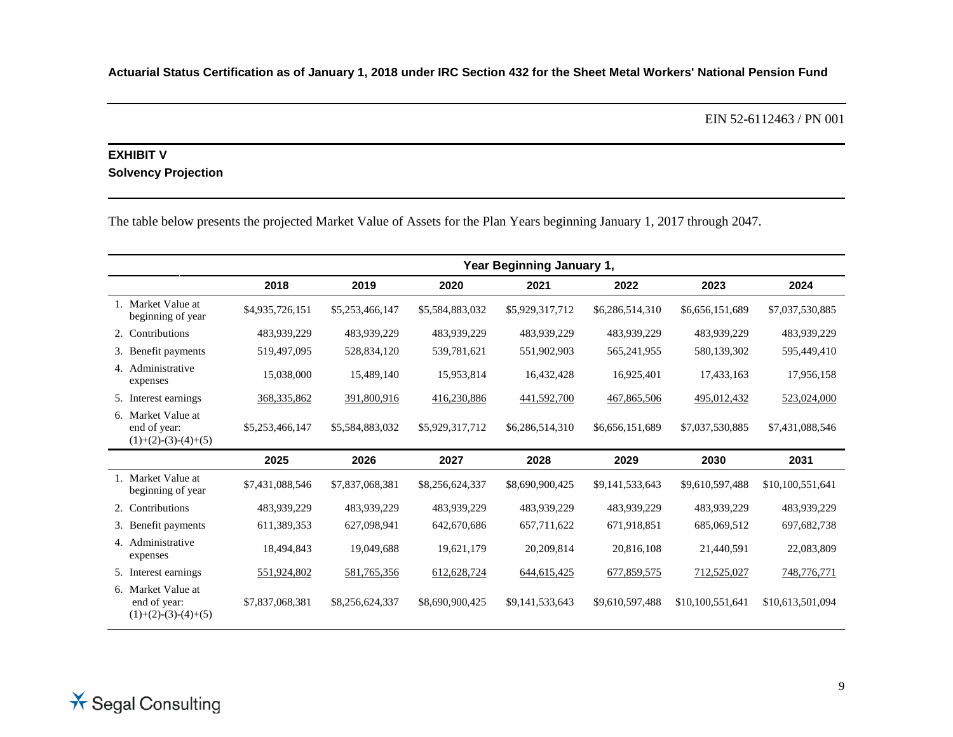EIN 52-6112463 / PN 001

## **EXHIBIT V Solvency Projection**

The table below presents the projected Market Value of Assets for the Plan Years beginning January 1, 2017 through 2047.

|                                                             | Year Beginning January 1, |                 |                 |                 |                 |                  |                  |
|-------------------------------------------------------------|---------------------------|-----------------|-----------------|-----------------|-----------------|------------------|------------------|
|                                                             | 2018                      | 2019            | 2020            | 2021            | 2022            | 2023             | 2024             |
| 1. Market Value at<br>beginning of year                     | \$4,935,726,151           | \$5,253,466,147 | \$5,584,883,032 | \$5,929,317,712 | \$6,286,514,310 | \$6,656,151,689  | \$7,037,530,885  |
| 2. Contributions                                            | 483,939,229               | 483,939,229     | 483,939,229     | 483,939,229     | 483,939,229     | 483,939,229      | 483,939,229      |
| 3. Benefit payments                                         | 519,497,095               | 528,834,120     | 539,781,621     | 551,902,903     | 565,241,955     | 580,139,302      | 595,449,410      |
| 4. Administrative<br>expenses                               | 15,038,000                | 15,489,140      | 15,953,814      | 16,432,428      | 16,925,401      | 17,433,163       | 17,956,158       |
| 5. Interest earnings                                        | 368, 335, 862             | 391,800,916     | 416,230,886     | 441,592,700     | 467,865,506     | 495,012,432      | 523,024,000      |
| 6. Market Value at<br>end of year:<br>$(1)+(2)-(3)-(4)+(5)$ | \$5,253,466,147           | \$5,584,883,032 | \$5,929,317,712 | \$6,286,514,310 | \$6,656,151,689 | \$7,037,530,885  | \$7,431,088,546  |
|                                                             | 2025                      | 2026            | 2027            | 2028            | 2029            | 2030             | 2031             |
| 1. Market Value at<br>beginning of year                     | \$7,431,088,546           | \$7,837,068,381 | \$8,256,624,337 | \$8,690,900,425 | \$9,141,533,643 | \$9,610,597,488  | \$10,100,551,641 |
| 2. Contributions                                            | 483,939,229               | 483,939,229     | 483,939,229     | 483,939,229     | 483,939,229     | 483,939,229      | 483,939,229      |
| 3. Benefit payments                                         | 611,389,353               | 627,098,941     | 642,670,686     | 657,711,622     | 671,918,851     | 685,069,512      | 697, 682, 738    |
| 4. Administrative<br>expenses                               | 18,494,843                | 19,049,688      | 19,621,179      | 20,209,814      | 20,816,108      | 21,440,591       | 22,083,809       |
| 5. Interest earnings                                        | 551,924,802               | 581,765,356     | 612, 628, 724   | 644, 615, 425   | 677,859,575     | 712,525,027      | 748,776,771      |
| 6. Market Value at<br>end of year:<br>$(1)+(2)-(3)-(4)+(5)$ | \$7,837,068,381           | \$8,256,624,337 | \$8,690,900,425 | \$9,141,533,643 | \$9,610,597,488 | \$10,100,551,641 | \$10,613,501,094 |

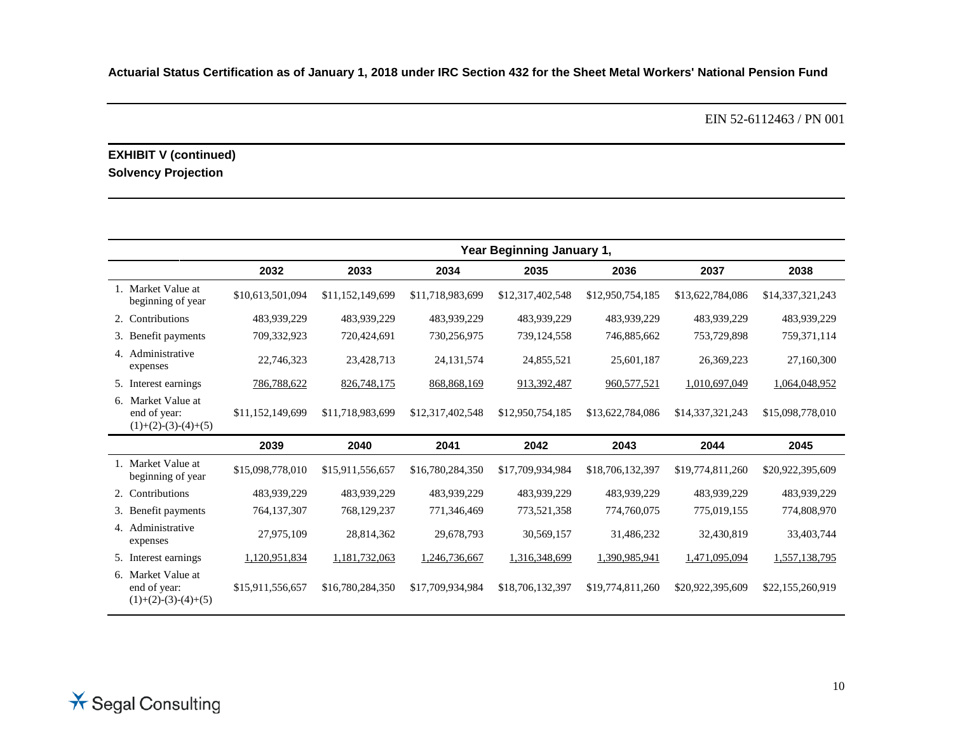EIN 52-6112463 / PN 001

## **EXHIBIT V (continued) Solvency Projection**

|                                                             | Year Beginning January 1, |                  |                  |                  |                  |                  |                  |  |
|-------------------------------------------------------------|---------------------------|------------------|------------------|------------------|------------------|------------------|------------------|--|
|                                                             | 2032                      | 2033             | 2034             | 2035             | 2036             | 2037             | 2038             |  |
| 1. Market Value at<br>beginning of year                     | \$10,613,501,094          | \$11,152,149,699 | \$11,718,983,699 | \$12,317,402,548 | \$12,950,754,185 | \$13,622,784,086 | \$14,337,321,243 |  |
| 2. Contributions                                            | 483,939,229               | 483,939,229      | 483,939,229      | 483,939,229      | 483,939,229      | 483,939,229      | 483,939,229      |  |
| 3. Benefit payments                                         | 709,332,923               | 720,424,691      | 730,256,975      | 739,124,558      | 746,885,662      | 753,729,898      | 759,371,114      |  |
| 4. Administrative<br>expenses                               | 22,746,323                | 23,428,713       | 24, 131, 574     | 24,855,521       | 25,601,187       | 26,369,223       | 27,160,300       |  |
| 5. Interest earnings                                        | 786,788,622               | 826,748,175      | 868, 868, 169    | 913,392,487      | 960, 577, 521    | 1,010,697,049    | 1,064,048,952    |  |
| 6. Market Value at<br>end of year:<br>$(1)+(2)-(3)-(4)+(5)$ | \$11,152,149,699          | \$11,718,983,699 | \$12,317,402,548 | \$12,950,754,185 | \$13,622,784,086 | \$14,337,321,243 | \$15,098,778,010 |  |
|                                                             | 2039                      | 2040             | 2041             | 2042             | 2043             | 2044             | 2045             |  |
| 1. Market Value at<br>beginning of year                     | \$15,098,778,010          | \$15,911,556,657 | \$16,780,284,350 | \$17,709,934,984 | \$18,706,132,397 | \$19,774,811,260 | \$20,922,395,609 |  |
| 2. Contributions                                            | 483.939.229               | 483.939.229      | 483.939.229      | 483.939.229      | 483.939.229      | 483.939.229      | 483,939,229      |  |
| 3. Benefit payments                                         | 764,137,307               | 768,129,237      | 771,346,469      | 773,521,358      | 774,760,075      | 775,019,155      | 774,808,970      |  |
| 4. Administrative<br>expenses                               | 27,975,109                | 28,814,362       | 29,678,793       | 30,569,157       | 31,486,232       | 32,430,819       | 33,403,744       |  |
| 5. Interest earnings                                        | 1,120,951,834             | 1,181,732,063    | 1,246,736,667    | 1,316,348,699    | 1,390,985,941    | 1,471,095,094    | 1,557,138,795    |  |
| 6. Market Value at<br>end of year:<br>$(1)+(2)-(3)-(4)+(5)$ | \$15,911,556,657          | \$16,780,284,350 | \$17,709,934,984 | \$18,706,132,397 | \$19,774,811,260 | \$20,922,395,609 | \$22,155,260,919 |  |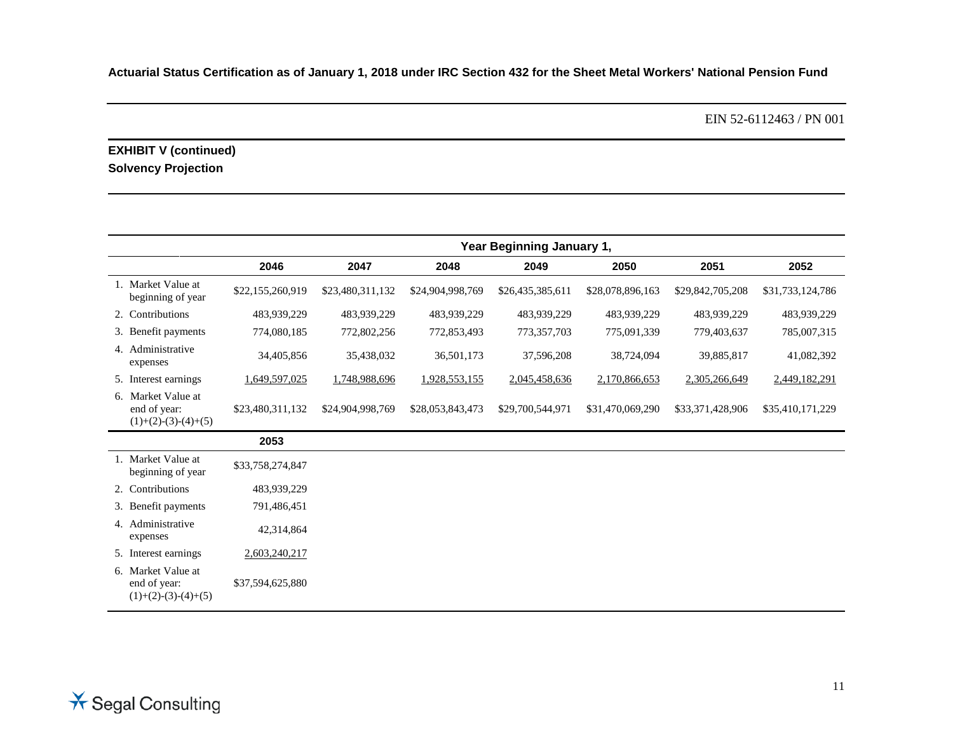EIN 52-6112463 / PN 001

### **EXHIBIT V (continued) Solvency Projection**

|                                                             | Year Beginning January 1, |                  |                  |                  |                  |                  |                  |
|-------------------------------------------------------------|---------------------------|------------------|------------------|------------------|------------------|------------------|------------------|
|                                                             | 2046                      | 2047             | 2048             | 2049             | 2050             | 2051             | 2052             |
| 1. Market Value at<br>beginning of year                     | \$22,155,260,919          | \$23,480,311,132 | \$24,904,998,769 | \$26,435,385,611 | \$28,078,896,163 | \$29,842,705,208 | \$31,733,124,786 |
| 2. Contributions                                            | 483,939,229               | 483,939,229      | 483,939,229      | 483,939,229      | 483,939,229      | 483,939,229      | 483,939,229      |
| 3. Benefit payments                                         | 774,080,185               | 772,802,256      | 772,853,493      | 773,357,703      | 775,091,339      | 779,403,637      | 785,007,315      |
| 4. Administrative<br>expenses                               | 34,405,856                | 35,438,032       | 36,501,173       | 37,596,208       | 38,724,094       | 39,885,817       | 41,082,392       |
| 5. Interest earnings                                        | 1,649,597,025             | 1,748,988,696    | 1,928,553,155    | 2,045,458,636    | 2,170,866,653    | 2,305,266,649    | 2,449,182,291    |
| 6. Market Value at<br>end of year:<br>$(1)+(2)-(3)-(4)+(5)$ | \$23,480,311,132          | \$24,904,998,769 | \$28,053,843,473 | \$29,700,544,971 | \$31,470,069,290 | \$33,371,428,906 | \$35,410,171,229 |
|                                                             | 2053                      |                  |                  |                  |                  |                  |                  |
| 1. Market Value at<br>beginning of year                     | \$33,758,274,847          |                  |                  |                  |                  |                  |                  |
| 2. Contributions                                            | 483,939,229               |                  |                  |                  |                  |                  |                  |
| 3. Benefit payments                                         | 791,486,451               |                  |                  |                  |                  |                  |                  |
| 4. Administrative<br>expenses                               | 42,314,864                |                  |                  |                  |                  |                  |                  |
| 5. Interest earnings                                        | 2,603,240,217             |                  |                  |                  |                  |                  |                  |
| 6. Market Value at<br>end of year:<br>$(1)+(2)-(3)-(4)+(5)$ | \$37,594,625,880          |                  |                  |                  |                  |                  |                  |

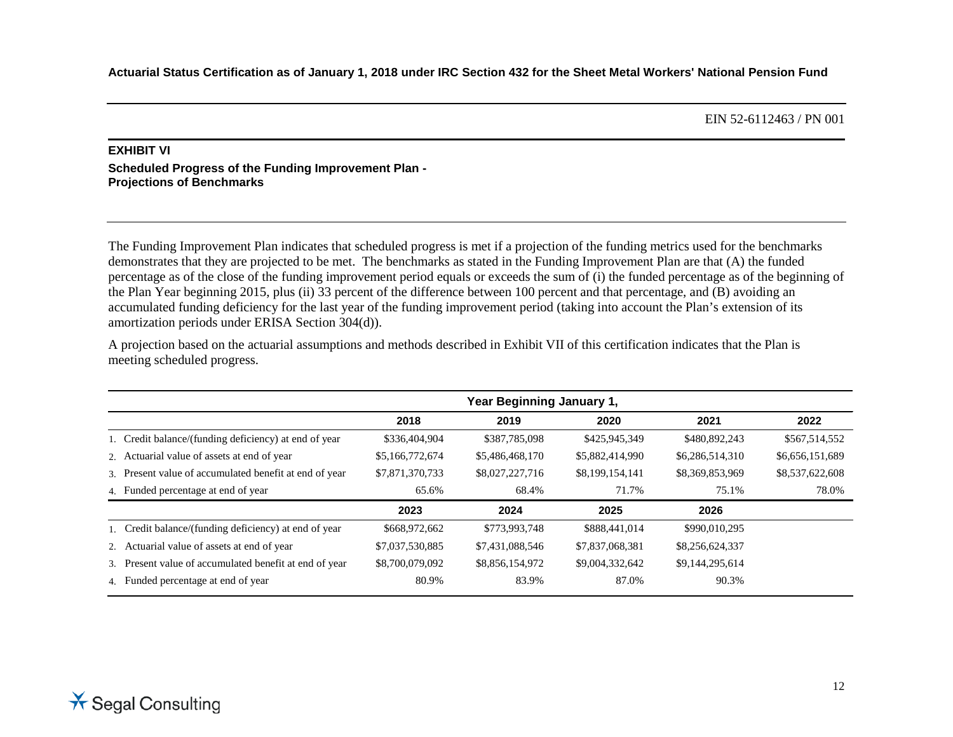#### **EXHIBIT VI Scheduled Progress of the Funding Improvement Plan - Projections of Benchmarks**

The Funding Improvement Plan indicates that scheduled progress is met if a projection of the funding metrics used for the benchmarks demonstrates that they are projected to be met. The benchmarks as stated in the Funding Improvement Plan are that (A) the funded percentage as of the close of the funding improvement period equals or exceeds the sum of (i) the funded percentage as of the beginning of the Plan Year beginning 2015, plus (ii) 33 percent of the difference between 100 percent and that percentage, and (B) avoiding an accumulated funding deficiency for the last year of the funding improvement period (taking into account the Plan's extension of its amortization periods under ERISA Section 304(d)).

A projection based on the actuarial assumptions and methods described in Exhibit VII of this certification indicates that the Plan is meeting scheduled progress.

|                                                        |                 | Year Beginning January 1, |                 |                 |                 |
|--------------------------------------------------------|-----------------|---------------------------|-----------------|-----------------|-----------------|
|                                                        | 2018            | 2019                      | 2020            | 2021            | 2022            |
| 1. Credit balance/(funding deficiency) at end of year  | \$336,404,904   | \$387,785,098             | \$425,945,349   | \$480,892,243   | \$567,514,552   |
| 2. Actuarial value of assets at end of year            | \$5,166,772,674 | \$5,486,468,170           | \$5,882,414,990 | \$6,286,514,310 | \$6,656,151,689 |
| 3. Present value of accumulated benefit at end of year | \$7,871,370,733 | \$8,027,227,716           | \$8,199,154,141 | \$8,369,853,969 | \$8,537,622,608 |
| 4. Funded percentage at end of year                    | 65.6%           | 68.4%                     | 71.7%           | 75.1%           | 78.0%           |
|                                                        | 2023            | 2024                      | 2025            | 2026            |                 |
| 1. Credit balance/(funding deficiency) at end of year  | \$668,972,662   | \$773,993,748             | \$888,441,014   | \$990,010,295   |                 |
| 2. Actuarial value of assets at end of year            | \$7,037,530,885 | \$7,431,088,546           | \$7,837,068,381 | \$8,256,624,337 |                 |
| 3. Present value of accumulated benefit at end of year | \$8,700,079,092 | \$8,856,154,972           | \$9,004,332,642 | \$9,144,295,614 |                 |
| 4. Funded percentage at end of year                    | 80.9%           | 83.9%                     | 87.0%           | 90.3%           |                 |

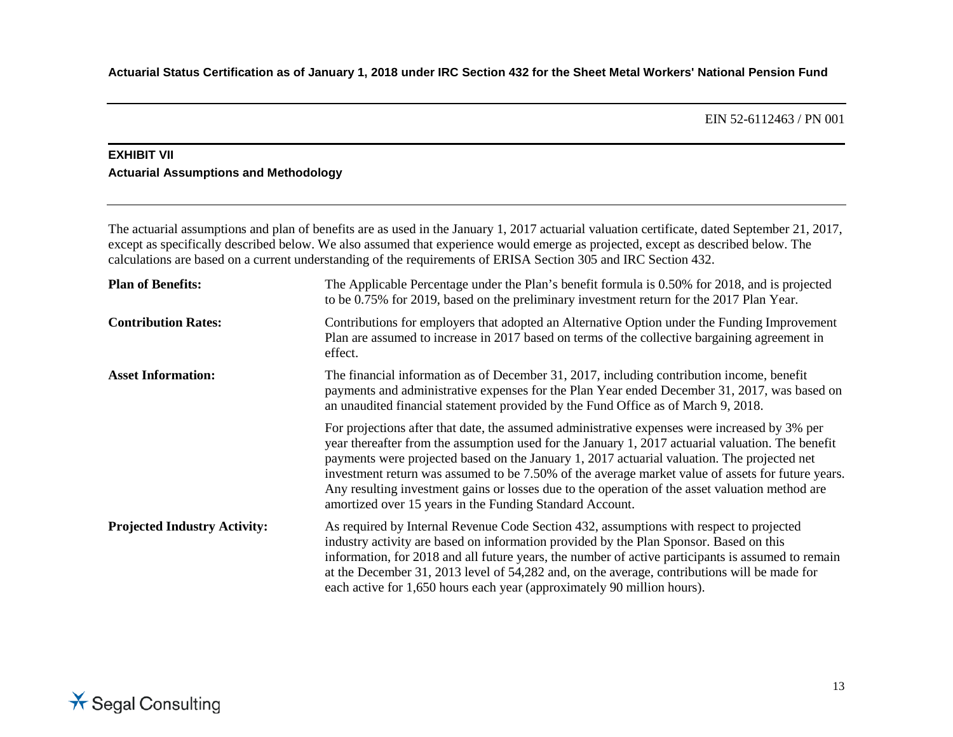### **EXHIBIT VII Actuarial Assumptions and Methodology**

The actuarial assumptions and plan of benefits are as used in the January 1, 2017 actuarial valuation certificate, dated September 21, 2017, except as specifically described below. We also assumed that experience would emerge as projected, except as described below. The calculations are based on a current understanding of the requirements of ERISA Section 305 and IRC Section 432.

| <b>Plan of Benefits:</b>            | The Applicable Percentage under the Plan's benefit formula is 0.50% for 2018, and is projected<br>to be 0.75% for 2019, based on the preliminary investment return for the 2017 Plan Year.                                                                                                                                                                                                                                                                                                                                                                            |
|-------------------------------------|-----------------------------------------------------------------------------------------------------------------------------------------------------------------------------------------------------------------------------------------------------------------------------------------------------------------------------------------------------------------------------------------------------------------------------------------------------------------------------------------------------------------------------------------------------------------------|
| <b>Contribution Rates:</b>          | Contributions for employers that adopted an Alternative Option under the Funding Improvement<br>Plan are assumed to increase in 2017 based on terms of the collective bargaining agreement in<br>effect.                                                                                                                                                                                                                                                                                                                                                              |
| <b>Asset Information:</b>           | The financial information as of December 31, 2017, including contribution income, benefit<br>payments and administrative expenses for the Plan Year ended December 31, 2017, was based on<br>an unaudited financial statement provided by the Fund Office as of March 9, 2018.                                                                                                                                                                                                                                                                                        |
|                                     | For projections after that date, the assumed administrative expenses were increased by 3% per<br>year thereafter from the assumption used for the January 1, 2017 actuarial valuation. The benefit<br>payments were projected based on the January 1, 2017 actuarial valuation. The projected net<br>investment return was assumed to be 7.50% of the average market value of assets for future years.<br>Any resulting investment gains or losses due to the operation of the asset valuation method are<br>amortized over 15 years in the Funding Standard Account. |
| <b>Projected Industry Activity:</b> | As required by Internal Revenue Code Section 432, assumptions with respect to projected<br>industry activity are based on information provided by the Plan Sponsor. Based on this<br>information, for 2018 and all future years, the number of active participants is assumed to remain<br>at the December 31, 2013 level of 54,282 and, on the average, contributions will be made for<br>each active for 1,650 hours each year (approximately 90 million hours).                                                                                                    |